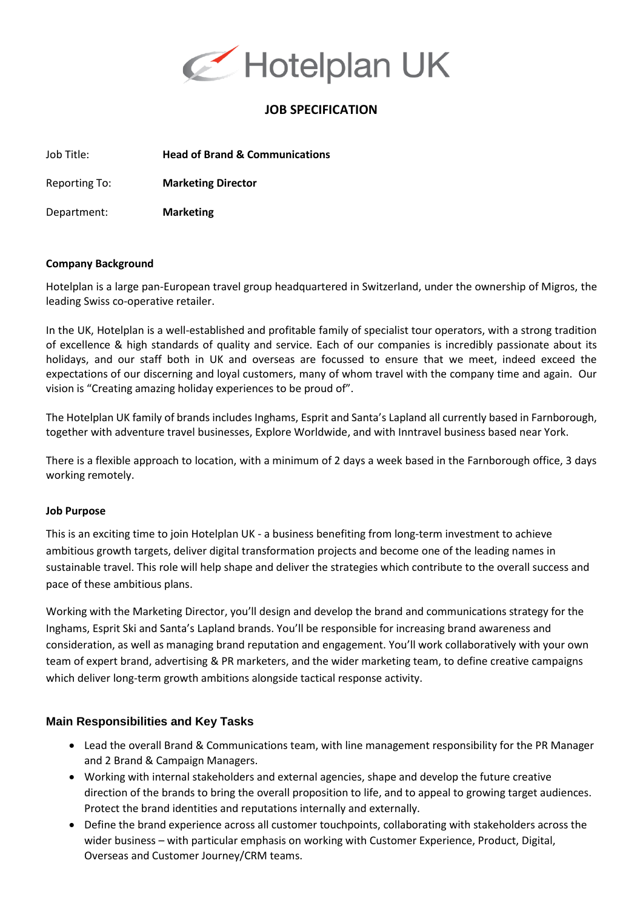

# **JOB SPECIFICATION**

Job Title: **Head of Brand & Communications**

Reporting To: **Marketing Director**

Department: **Marketing**

#### **Company Background**

Hotelplan is a large pan-European travel group headquartered in Switzerland, under the ownership of Migros, the leading Swiss co-operative retailer.

In the UK, Hotelplan is a well-established and profitable family of specialist tour operators, with a strong tradition of excellence & high standards of quality and service. Each of our companies is incredibly passionate about its holidays, and our staff both in UK and overseas are focussed to ensure that we meet, indeed exceed the expectations of our discerning and loyal customers, many of whom travel with the company time and again. Our vision is "Creating amazing holiday experiences to be proud of".

The Hotelplan UK family of brands includes Inghams, Esprit and Santa's Lapland all currently based in Farnborough, together with adventure travel businesses, Explore Worldwide, and with Inntravel business based near York.

There is a flexible approach to location, with a minimum of 2 days a week based in the Farnborough office, 3 days working remotely.

### **Job Purpose**

This is an exciting time to join Hotelplan UK - a business benefiting from long-term investment to achieve ambitious growth targets, deliver digital transformation projects and become one of the leading names in sustainable travel. This role will help shape and deliver the strategies which contribute to the overall success and pace of these ambitious plans.

Working with the Marketing Director, you'll design and develop the brand and communications strategy for the Inghams, Esprit Ski and Santa's Lapland brands. You'll be responsible for increasing brand awareness and consideration, as well as managing brand reputation and engagement. You'll work collaboratively with your own team of expert brand, advertising & PR marketers, and the wider marketing team, to define creative campaigns which deliver long-term growth ambitions alongside tactical response activity.

### **Main Responsibilities and Key Tasks**

- Lead the overall Brand & Communications team, with line management responsibility for the PR Manager and 2 Brand & Campaign Managers.
- Working with internal stakeholders and external agencies, shape and develop the future creative direction of the brands to bring the overall proposition to life, and to appeal to growing target audiences. Protect the brand identities and reputations internally and externally.
- Define the brand experience across all customer touchpoints, collaborating with stakeholders across the wider business – with particular emphasis on working with Customer Experience, Product, Digital, Overseas and Customer Journey/CRM teams.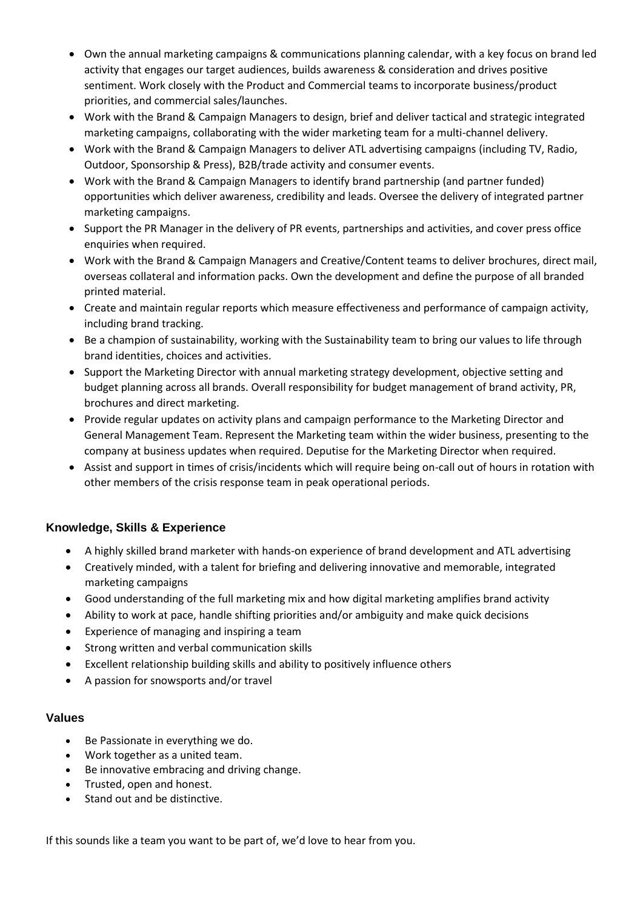- Own the annual marketing campaigns & communications planning calendar, with a key focus on brand led activity that engages our target audiences, builds awareness & consideration and drives positive sentiment. Work closely with the Product and Commercial teams to incorporate business/product priorities, and commercial sales/launches.
- Work with the Brand & Campaign Managers to design, brief and deliver tactical and strategic integrated marketing campaigns, collaborating with the wider marketing team for a multi-channel delivery.
- Work with the Brand & Campaign Managers to deliver ATL advertising campaigns (including TV, Radio, Outdoor, Sponsorship & Press), B2B/trade activity and consumer events.
- Work with the Brand & Campaign Managers to identify brand partnership (and partner funded) opportunities which deliver awareness, credibility and leads. Oversee the delivery of integrated partner marketing campaigns.
- Support the PR Manager in the delivery of PR events, partnerships and activities, and cover press office enquiries when required.
- Work with the Brand & Campaign Managers and Creative/Content teams to deliver brochures, direct mail, overseas collateral and information packs. Own the development and define the purpose of all branded printed material.
- Create and maintain regular reports which measure effectiveness and performance of campaign activity, including brand tracking.
- Be a champion of sustainability, working with the Sustainability team to bring our values to life through brand identities, choices and activities.
- Support the Marketing Director with annual marketing strategy development, objective setting and budget planning across all brands. Overall responsibility for budget management of brand activity, PR, brochures and direct marketing.
- Provide regular updates on activity plans and campaign performance to the Marketing Director and General Management Team. Represent the Marketing team within the wider business, presenting to the company at business updates when required. Deputise for the Marketing Director when required.
- Assist and support in times of crisis/incidents which will require being on-call out of hours in rotation with other members of the crisis response team in peak operational periods.

## **Knowledge, Skills & Experience**

- A highly skilled brand marketer with hands-on experience of brand development and ATL advertising
- Creatively minded, with a talent for briefing and delivering innovative and memorable, integrated marketing campaigns
- Good understanding of the full marketing mix and how digital marketing amplifies brand activity
- Ability to work at pace, handle shifting priorities and/or ambiguity and make quick decisions
- Experience of managing and inspiring a team
- Strong written and verbal communication skills
- Excellent relationship building skills and ability to positively influence others
- A passion for snowsports and/or travel

## **Values**

- Be Passionate in everything we do.
- Work together as a united team.
- Be innovative embracing and driving change.
- Trusted, open and honest.
- Stand out and be distinctive.

If this sounds like a team you want to be part of, we'd love to hear from you.